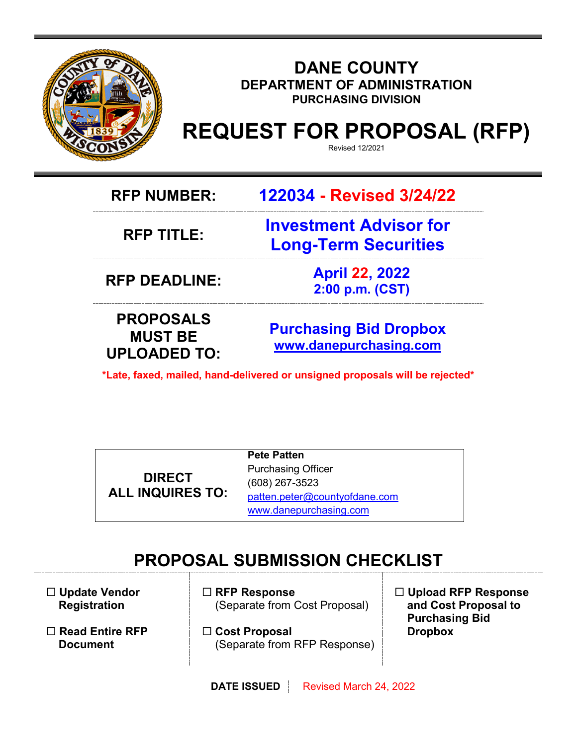

# **DANE COUNTY DEPARTMENT OF ADMINISTRATION PURCHASING DIVISION**

# **REQUEST FOR PROPOSAL (RFP)**

Revised 12/2021

**RFP NUMBER: 122034 - Revised 3/24/22**

**RFP TITLE:** 

**Investment Advisor for Long-Term Securities**

**RFP DEADLINE: April 22, 2022 2:00 p.m. (CST)**

**PROPOSALS MUST BE UPLOADED TO:**

**[Purchasing](mailto:BIDS@COUNTYOFDANE.COM) Bid Dropbox [www.danepurchasing.com](http://www.danepurchasing.com/)**

**\*Late, faxed, mailed, hand-delivered or unsigned proposals will be rejected\***

**DIRECT ALL INQUIRES TO:** **Pete Patten** Purchasing Officer (608) 267-3523 [patten.peter@countyofdane.com](mailto:patten.peter@countyofdane.com) [www.danepurchasing.com](http://www.danepurchasing.com/)

# **PROPOSAL SUBMISSION CHECKLIST**

 **Update Vendor Registration**

- **Read Entire RFP Document**
- **RFP Response** (Separate from Cost Proposal)
- **Cost Proposal** (Separate from RFP Response)
- **Upload RFP Response and Cost Proposal to Purchasing Bid Dropbox**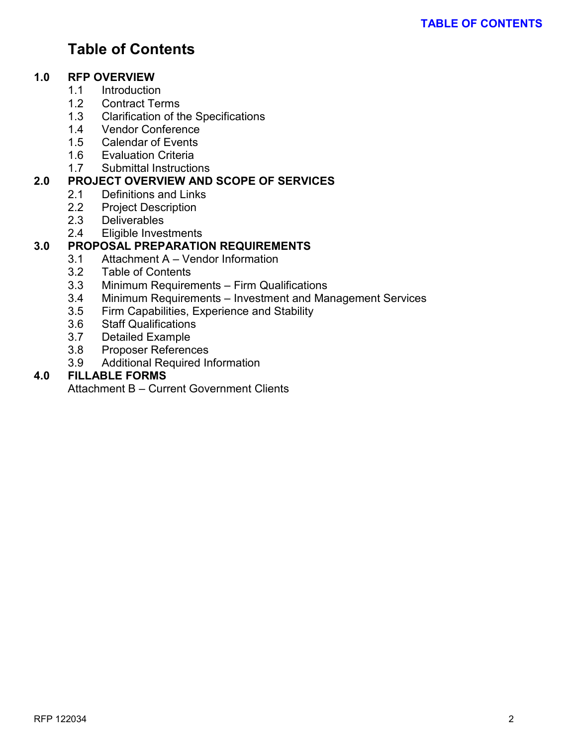# **Table of Contents**

#### **1.0 RFP OVERVIEW**

- 1.1 Introduction
- 1.2 Contract Terms
- 1.3 Clarification of the Specifications
- 1.4 Vendor Conference
- 1.5 Calendar of Events
- 1.6 Evaluation Criteria
- 1.7 Submittal Instructions

# **2.0 PROJECT OVERVIEW AND SCOPE OF SERVICES**

- 2.1 Definitions and Links
	- 2.2 Project Description
	-
	- 2.3 Deliverables<br>2.4 Eligible Inves Eligible Investments

#### **3.0 PROPOSAL PREPARATION REQUIREMENTS**

- 3.1 Attachment A Vendor Information
- 3.2 Table of Contents
- 3.3 Minimum Requirements Firm Qualifications<br>3.4 Minimum Requirements Investment and Ma
- Minimum Requirements Investment and Management Services
- 3.5 Firm Capabilities, Experience and Stability
- 3.6 Staff Qualifications
- 3.7 Detailed Example
- 3.8 Proposer References
- 3.9 Additional Required Information

### **4.0 FILLABLE FORMS**

Attachment B – Current Government Clients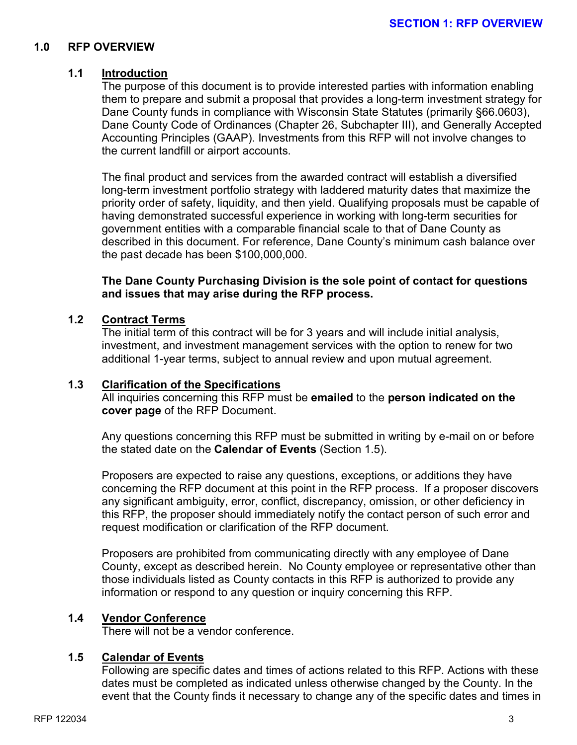#### **1.0 RFP OVERVIEW**

#### **1.1 Introduction**

The purpose of this document is to provide interested parties with information enabling them to prepare and submit a proposal that provides a long-term investment strategy for Dane County funds in compliance with Wisconsin State Statutes (primarily §66.0603), Dane County Code of Ordinances (Chapter 26, Subchapter III), and Generally Accepted Accounting Principles (GAAP). Investments from this RFP will not involve changes to the current landfill or airport accounts.

The final product and services from the awarded contract will establish a diversified long-term investment portfolio strategy with laddered maturity dates that maximize the priority order of safety, liquidity, and then yield. Qualifying proposals must be capable of having demonstrated successful experience in working with long-term securities for government entities with a comparable financial scale to that of Dane County as described in this document. For reference, Dane County's minimum cash balance over the past decade has been \$100,000,000.

**The Dane County Purchasing Division is the sole point of contact for questions and issues that may arise during the RFP process.**

#### **1.2 Contract Terms**

The initial term of this contract will be for 3 years and will include initial analysis, investment, and investment management services with the option to renew for two additional 1-year terms, subject to annual review and upon mutual agreement.

#### **1.3 Clarification of the Specifications**

All inquiries concerning this RFP must be **emailed** to the **person indicated on the cover page** of the RFP Document.

Any questions concerning this RFP must be submitted in writing by e-mail on or before the stated date on the **Calendar of Events** (Section 1.5).

Proposers are expected to raise any questions, exceptions, or additions they have concerning the RFP document at this point in the RFP process. If a proposer discovers any significant ambiguity, error, conflict, discrepancy, omission, or other deficiency in this RFP, the proposer should immediately notify the contact person of such error and request modification or clarification of the RFP document.

Proposers are prohibited from communicating directly with any employee of Dane County, except as described herein. No County employee or representative other than those individuals listed as County contacts in this RFP is authorized to provide any information or respond to any question or inquiry concerning this RFP.

#### **1.4 Vendor Conference**

There will not be a vendor conference.

#### **1.5 Calendar of Events**

Following are specific dates and times of actions related to this RFP. Actions with these dates must be completed as indicated unless otherwise changed by the County. In the event that the County finds it necessary to change any of the specific dates and times in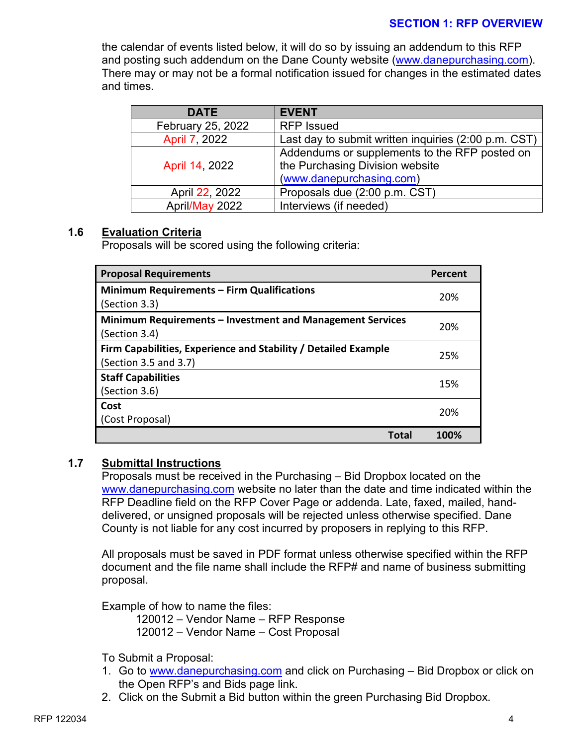#### **SECTION 1: RFP OVERVIEW**

the calendar of events listed below, it will do so by issuing an addendum to this RFP and posting such addendum on the Dane County website [\(www.danepurchasing.com\)](http://www.danepurchasing.com/). There may or may not be a formal notification issued for changes in the estimated dates and times.

| <b>DATE</b>       | <b>EVENT</b>                                         |
|-------------------|------------------------------------------------------|
| February 25, 2022 | <b>RFP Issued</b>                                    |
| April 7, 2022     | Last day to submit written inquiries (2:00 p.m. CST) |
| April 14, 2022    | Addendums or supplements to the RFP posted on        |
|                   | the Purchasing Division website                      |
|                   | (www.danepurchasing.com)                             |
| April 22, 2022    | Proposals due (2:00 p.m. CST)                        |
| April/May 2022    | Interviews (if needed)                               |

#### **1.6 Evaluation Criteria**

Proposals will be scored using the following criteria:

| <b>Proposal Requirements</b>                                   | Percent |
|----------------------------------------------------------------|---------|
| <b>Minimum Requirements - Firm Qualifications</b>              | 20%     |
| (Section 3.3)                                                  |         |
| Minimum Requirements – Investment and Management Services      | 20%     |
| (Section 3.4)                                                  |         |
| Firm Capabilities, Experience and Stability / Detailed Example | 25%     |
| (Section 3.5 and 3.7)                                          |         |
| <b>Staff Capabilities</b>                                      | 15%     |
| (Section 3.6)                                                  |         |
| Cost                                                           | 20%     |
| (Cost Proposal)                                                |         |
| <b>Total</b>                                                   | 100%    |

#### **1.7 Submittal Instructions**

Proposals must be received in the Purchasing – Bid Dropbox located on the [www.danepurchasing.com](http://www.danepurchasing.com/) website no later than the date and time indicated within the RFP Deadline field on the RFP Cover Page or addenda. Late, faxed, mailed, handdelivered, or unsigned proposals will be rejected unless otherwise specified. Dane County is not liable for any cost incurred by proposers in replying to this RFP.

All proposals must be saved in PDF format unless otherwise specified within the RFP document and the file name shall include the RFP# and name of business submitting proposal.

Example of how to name the files:

120012 – Vendor Name – RFP Response 120012 – Vendor Name – Cost Proposal

To Submit a Proposal:

- 1. Go to [www.danepurchasing.com](http://www.danepurchasing.com/) and click on Purchasing Bid Dropbox or click on the Open RFP's and Bids page link.
- 2. Click on the Submit a Bid button within the green Purchasing Bid Dropbox.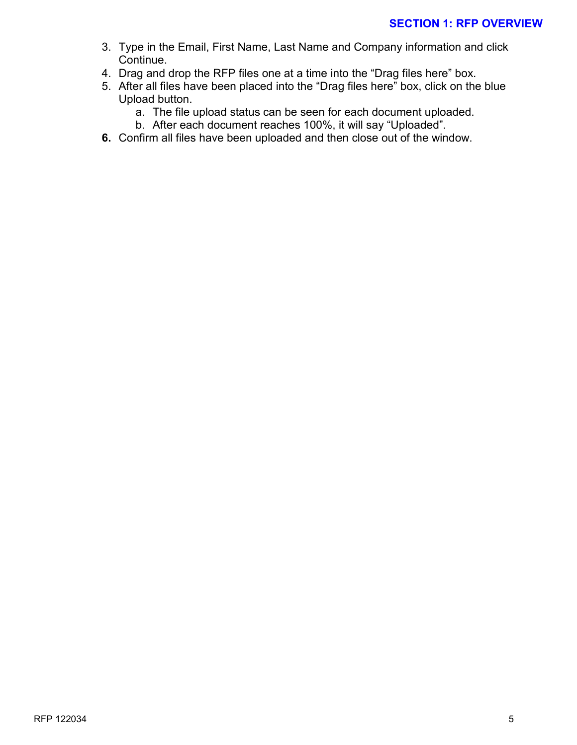- 3. Type in the Email, First Name, Last Name and Company information and click Continue.
- 4. Drag and drop the RFP files one at a time into the "Drag files here" box.
- 5. After all files have been placed into the "Drag files here" box, click on the blue Upload button.
	- a. The file upload status can be seen for each document uploaded.
	- b. After each document reaches 100%, it will say "Uploaded".
- **6.** Confirm all files have been uploaded and then close out of the window.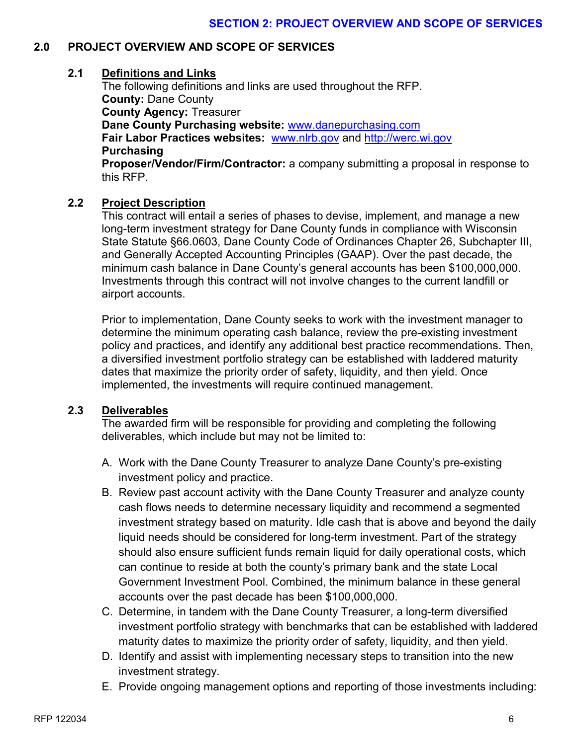#### **2.0 PROJECT OVERVIEW AND SCOPE OF SERVICES**

#### **2.1 Definitions and Links**

The following definitions and links are used throughout the RFP. **County:** Dane County **County Agency:** Treasurer **Dane County Purchasing website:** [www.danepurchasing.com](http://www.danepurchasing.com/) **Fair Labor Practices websites:** [www.nlrb.gov](http://www.nlrb.gov/) and [http://werc.wi.gov](http://werc.wi.gov/) **Purchasing Proposer/Vendor/Firm/Contractor:** a company submitting a proposal in response to this RFP.

#### **2.2 Project Description**

This contract will entail a series of phases to devise, implement, and manage a new long-term investment strategy for Dane County funds in compliance with Wisconsin State Statute §66.0603, Dane County Code of Ordinances Chapter 26, Subchapter III, and Generally Accepted Accounting Principles (GAAP). Over the past decade, the minimum cash balance in Dane County's general accounts has been \$100,000,000. Investments through this contract will not involve changes to the current landfill or airport accounts.

Prior to implementation, Dane County seeks to work with the investment manager to determine the minimum operating cash balance, review the pre-existing investment policy and practices, and identify any additional best practice recommendations. Then, a diversified investment portfolio strategy can be established with laddered maturity dates that maximize the priority order of safety, liquidity, and then yield. Once implemented, the investments will require continued management.

#### **2.3 Deliverables**

The awarded firm will be responsible for providing and completing the following deliverables, which include but may not be limited to:

- A. Work with the Dane County Treasurer to analyze Dane County's pre-existing investment policy and practice.
- B. Review past account activity with the Dane County Treasurer and analyze county cash flows needs to determine necessary liquidity and recommend a segmented investment strategy based on maturity. Idle cash that is above and beyond the daily liquid needs should be considered for long-term investment. Part of the strategy should also ensure sufficient funds remain liquid for daily operational costs, which can continue to reside at both the county's primary bank and the state Local Government Investment Pool. Combined, the minimum balance in these general accounts over the past decade has been \$100,000,000.
- C. Determine, in tandem with the Dane County Treasurer, a long-term diversified investment portfolio strategy with benchmarks that can be established with laddered maturity dates to maximize the priority order of safety, liquidity, and then yield.
- D. Identify and assist with implementing necessary steps to transition into the new investment strategy.
- E. Provide ongoing management options and reporting of those investments including: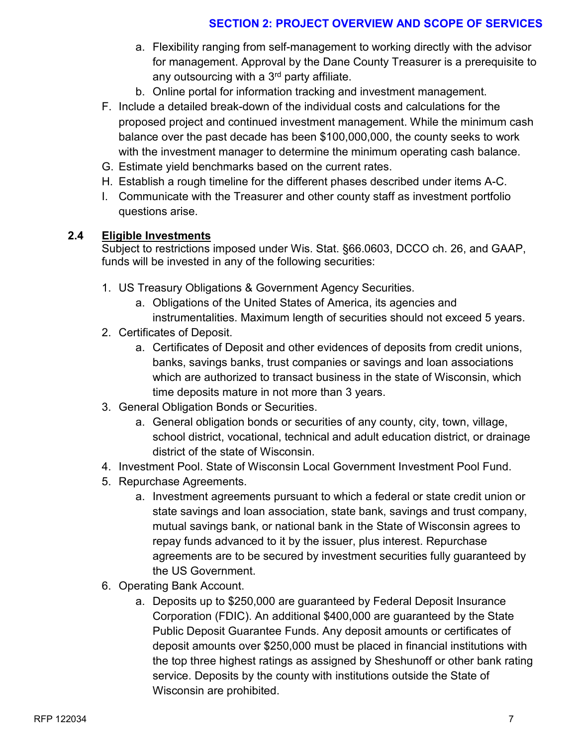# **SECTION 2: PROJECT OVERVIEW AND SCOPE OF SERVICES**

- a. Flexibility ranging from self-management to working directly with the advisor for management. Approval by the Dane County Treasurer is a prerequisite to any outsourcing with a 3<sup>rd</sup> party affiliate.
- b. Online portal for information tracking and investment management.
- F. Include a detailed break-down of the individual costs and calculations for the proposed project and continued investment management. While the minimum cash balance over the past decade has been \$100,000,000, the county seeks to work with the investment manager to determine the minimum operating cash balance.
- G. Estimate yield benchmarks based on the current rates.
- H. Establish a rough timeline for the different phases described under items A-C.
- I. Communicate with the Treasurer and other county staff as investment portfolio questions arise.

#### **2.4 Eligible Investments**

Subject to restrictions imposed under Wis. Stat. §66.0603, DCCO ch. 26, and GAAP, funds will be invested in any of the following securities:

- 1. US Treasury Obligations & Government Agency Securities.
	- a. Obligations of the United States of America, its agencies and instrumentalities. Maximum length of securities should not exceed 5 years.
- 2. Certificates of Deposit.
	- a. Certificates of Deposit and other evidences of deposits from credit unions, banks, savings banks, trust companies or savings and loan associations which are authorized to transact business in the state of Wisconsin, which time deposits mature in not more than 3 years.
- 3. General Obligation Bonds or Securities.
	- a. General obligation bonds or securities of any county, city, town, village, school district, vocational, technical and adult education district, or drainage district of the state of Wisconsin.
- 4. Investment Pool. State of Wisconsin Local Government Investment Pool Fund.
- 5. Repurchase Agreements.
	- a. Investment agreements pursuant to which a federal or state credit union or state savings and loan association, state bank, savings and trust company, mutual savings bank, or national bank in the State of Wisconsin agrees to repay funds advanced to it by the issuer, plus interest. Repurchase agreements are to be secured by investment securities fully guaranteed by the US Government.
- 6. Operating Bank Account.
	- a. Deposits up to \$250,000 are guaranteed by Federal Deposit Insurance Corporation (FDIC). An additional \$400,000 are guaranteed by the State Public Deposit Guarantee Funds. Any deposit amounts or certificates of deposit amounts over \$250,000 must be placed in financial institutions with the top three highest ratings as assigned by Sheshunoff or other bank rating service. Deposits by the county with institutions outside the State of Wisconsin are prohibited.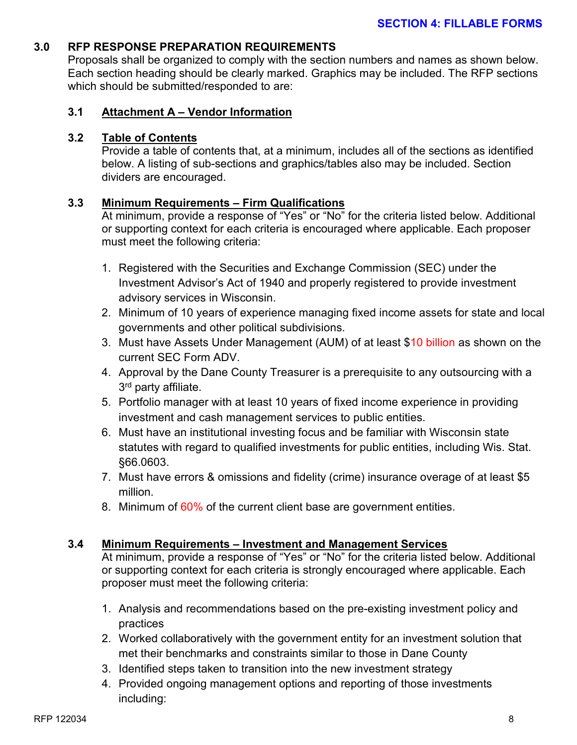#### **3.0 RFP RESPONSE PREPARATION REQUIREMENTS**

Proposals shall be organized to comply with the section numbers and names as shown below. Each section heading should be clearly marked. Graphics may be included. The RFP sections which should be submitted/responded to are:

#### **3.1 Attachment A – Vendor Information**

#### **3.2 Table of Contents**

Provide a table of contents that, at a minimum, includes all of the sections as identified below. A listing of sub-sections and graphics/tables also may be included. Section dividers are encouraged.

#### **3.3 Minimum Requirements – Firm Qualifications**

At minimum, provide a response of "Yes" or "No" for the criteria listed below. Additional or supporting context for each criteria is encouraged where applicable. Each proposer must meet the following criteria:

- 1. Registered with the Securities and Exchange Commission (SEC) under the Investment Advisor's Act of 1940 and properly registered to provide investment advisory services in Wisconsin.
- 2. Minimum of 10 years of experience managing fixed income assets for state and local governments and other political subdivisions.
- 3. Must have Assets Under Management (AUM) of at least \$10 billion as shown on the current SEC Form ADV.
- 4. Approval by the Dane County Treasurer is a prerequisite to any outsourcing with a 3<sup>rd</sup> party affiliate.
- 5. Portfolio manager with at least 10 years of fixed income experience in providing investment and cash management services to public entities.
- 6. Must have an institutional investing focus and be familiar with Wisconsin state statutes with regard to qualified investments for public entities, including Wis. Stat. §66.0603.
- 7. Must have errors & omissions and fidelity (crime) insurance overage of at least \$5 million.
- 8. Minimum of 60% of the current client base are government entities.

#### **3.4 Minimum Requirements – Investment and Management Services**

At minimum, provide a response of "Yes" or "No" for the criteria listed below. Additional or supporting context for each criteria is strongly encouraged where applicable. Each proposer must meet the following criteria:

- 1. Analysis and recommendations based on the pre-existing investment policy and practices
- 2. Worked collaboratively with the government entity for an investment solution that met their benchmarks and constraints similar to those in Dane County
- 3. Identified steps taken to transition into the new investment strategy
- 4. Provided ongoing management options and reporting of those investments including: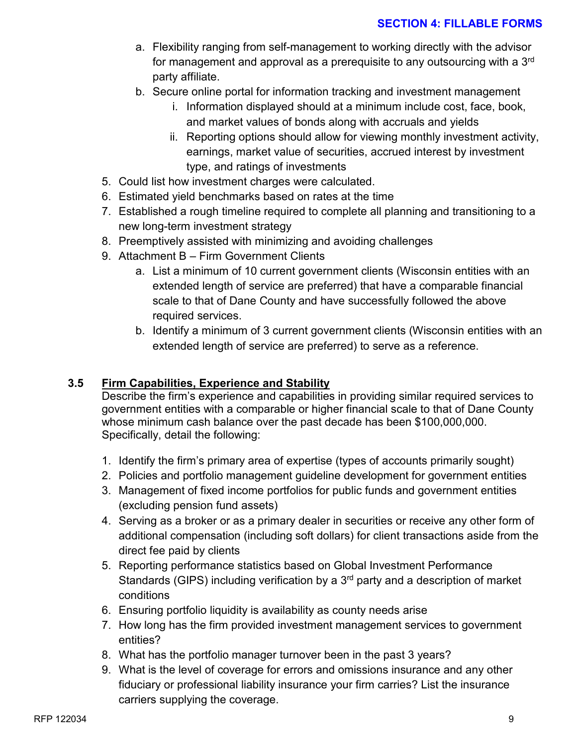- a. Flexibility ranging from self-management to working directly with the advisor for management and approval as a prerequisite to any outsourcing with a 3<sup>rd</sup> party affiliate.
- b. Secure online portal for information tracking and investment management
	- i. Information displayed should at a minimum include cost, face, book, and market values of bonds along with accruals and yields
	- ii. Reporting options should allow for viewing monthly investment activity, earnings, market value of securities, accrued interest by investment type, and ratings of investments
- 5. Could list how investment charges were calculated.
- 6. Estimated yield benchmarks based on rates at the time
- 7. Established a rough timeline required to complete all planning and transitioning to a new long-term investment strategy
- 8. Preemptively assisted with minimizing and avoiding challenges
- 9. Attachment B Firm Government Clients
	- a. List a minimum of 10 current government clients (Wisconsin entities with an extended length of service are preferred) that have a comparable financial scale to that of Dane County and have successfully followed the above required services.
	- b. Identify a minimum of 3 current government clients (Wisconsin entities with an extended length of service are preferred) to serve as a reference.

### **3.5 Firm Capabilities, Experience and Stability**

Describe the firm's experience and capabilities in providing similar required services to government entities with a comparable or higher financial scale to that of Dane County whose minimum cash balance over the past decade has been \$100,000,000. Specifically, detail the following:

- 1. Identify the firm's primary area of expertise (types of accounts primarily sought)
- 2. Policies and portfolio management guideline development for government entities
- 3. Management of fixed income portfolios for public funds and government entities (excluding pension fund assets)
- 4. Serving as a broker or as a primary dealer in securities or receive any other form of additional compensation (including soft dollars) for client transactions aside from the direct fee paid by clients
- 5. Reporting performance statistics based on Global Investment Performance Standards (GIPS) including verification by a  $3<sup>rd</sup>$  party and a description of market conditions
- 6. Ensuring portfolio liquidity is availability as county needs arise
- 7. How long has the firm provided investment management services to government entities?
- 8. What has the portfolio manager turnover been in the past 3 years?
- 9. What is the level of coverage for errors and omissions insurance and any other fiduciary or professional liability insurance your firm carries? List the insurance carriers supplying the coverage.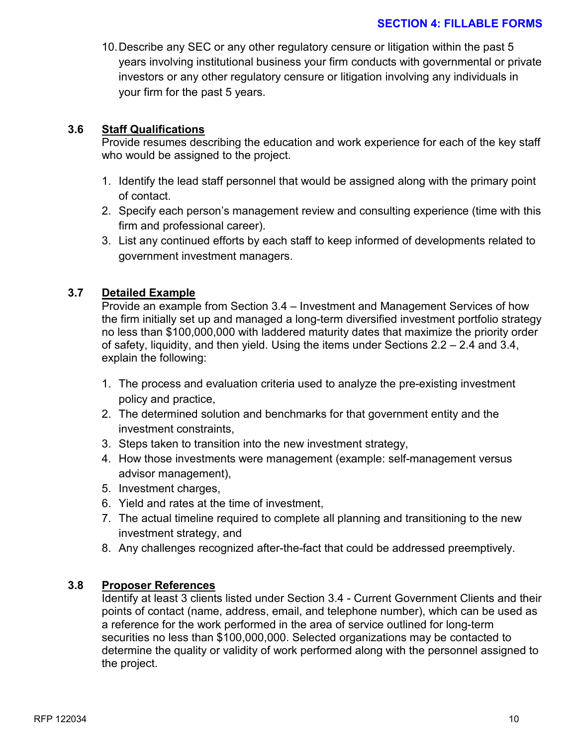#### **SECTION 4: FILLABLE FORMS**

10.Describe any SEC or any other regulatory censure or litigation within the past 5 years involving institutional business your firm conducts with governmental or private investors or any other regulatory censure or litigation involving any individuals in your firm for the past 5 years.

#### **3.6 Staff Qualifications**

Provide resumes describing the education and work experience for each of the key staff who would be assigned to the project.

- 1. Identify the lead staff personnel that would be assigned along with the primary point of contact.
- 2. Specify each person's management review and consulting experience (time with this firm and professional career).
- 3. List any continued efforts by each staff to keep informed of developments related to government investment managers.

#### **3.7 Detailed Example**

Provide an example from Section 3.4 – Investment and Management Services of how the firm initially set up and managed a long-term diversified investment portfolio strategy no less than \$100,000,000 with laddered maturity dates that maximize the priority order of safety, liquidity, and then yield. Using the items under Sections 2.2 – 2.4 and 3.4, explain the following:

- 1. The process and evaluation criteria used to analyze the pre-existing investment policy and practice,
- 2. The determined solution and benchmarks for that government entity and the investment constraints,
- 3. Steps taken to transition into the new investment strategy,
- 4. How those investments were management (example: self-management versus advisor management),
- 5. Investment charges,
- 6. Yield and rates at the time of investment,
- 7. The actual timeline required to complete all planning and transitioning to the new investment strategy, and
- 8. Any challenges recognized after-the-fact that could be addressed preemptively.

#### **3.8 Proposer References**

Identify at least 3 clients listed under Section 3.4 - Current Government Clients and their points of contact (name, address, email, and telephone number), which can be used as a reference for the work performed in the area of service outlined for long-term securities no less than \$100,000,000. Selected organizations may be contacted to determine the quality or validity of work performed along with the personnel assigned to the project.